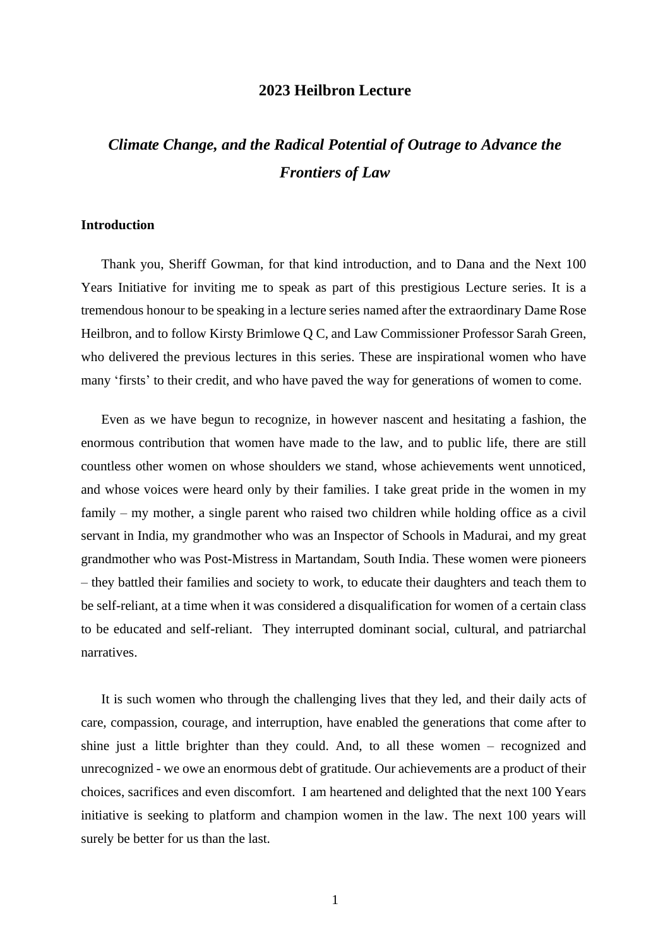## **2023 Heilbron Lecture**

# *Climate Change, and the Radical Potential of Outrage to Advance the Frontiers of Law*

#### **Introduction**

Thank you, Sheriff Gowman, for that kind introduction, and to Dana and the Next 100 Years Initiative for inviting me to speak as part of this prestigious Lecture series. It is a tremendous honour to be speaking in a lecture series named after the extraordinary Dame Rose Heilbron, and to follow Kirsty Brimlowe Q C, and Law Commissioner Professor Sarah Green, who delivered the previous lectures in this series. These are inspirational women who have many 'firsts' to their credit, and who have paved the way for generations of women to come.

Even as we have begun to recognize, in however nascent and hesitating a fashion, the enormous contribution that women have made to the law, and to public life, there are still countless other women on whose shoulders we stand, whose achievements went unnoticed, and whose voices were heard only by their families. I take great pride in the women in my family – my mother, a single parent who raised two children while holding office as a civil servant in India, my grandmother who was an Inspector of Schools in Madurai, and my great grandmother who was Post-Mistress in Martandam, South India. These women were pioneers – they battled their families and society to work, to educate their daughters and teach them to be self-reliant, at a time when it was considered a disqualification for women of a certain class to be educated and self-reliant. They interrupted dominant social, cultural, and patriarchal narratives.

It is such women who through the challenging lives that they led, and their daily acts of care, compassion, courage, and interruption, have enabled the generations that come after to shine just a little brighter than they could. And, to all these women – recognized and unrecognized - we owe an enormous debt of gratitude. Our achievements are a product of their choices, sacrifices and even discomfort. I am heartened and delighted that the next 100 Years initiative is seeking to platform and champion women in the law. The next 100 years will surely be better for us than the last.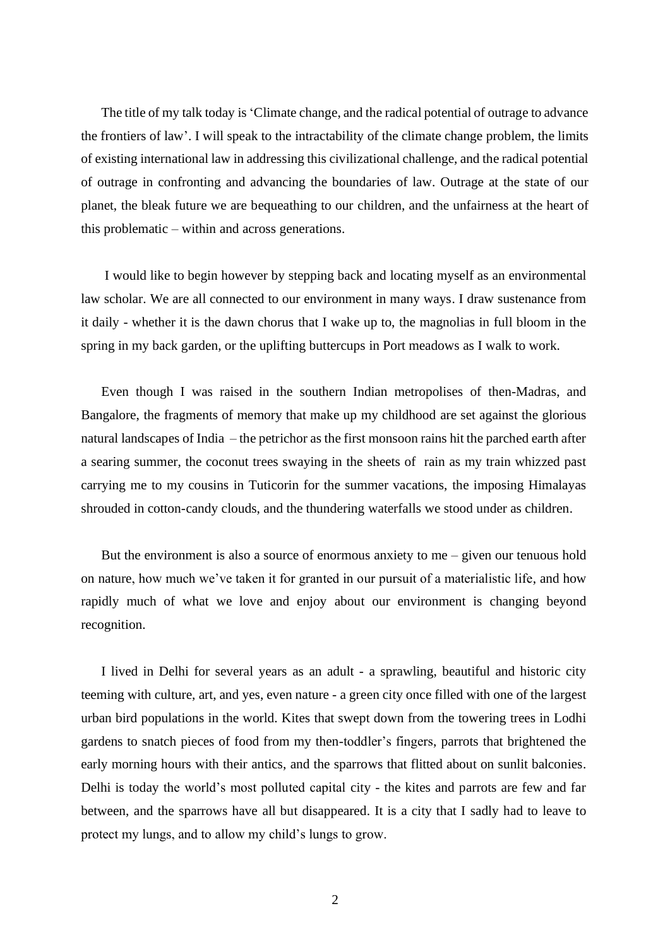The title of my talk today is'Climate change, and the radical potential of outrage to advance the frontiers of law'. I will speak to the intractability of the climate change problem, the limits of existing international law in addressing this civilizational challenge, and the radical potential of outrage in confronting and advancing the boundaries of law. Outrage at the state of our planet, the bleak future we are bequeathing to our children, and the unfairness at the heart of this problematic – within and across generations.

I would like to begin however by stepping back and locating myself as an environmental law scholar. We are all connected to our environment in many ways. I draw sustenance from it daily - whether it is the dawn chorus that I wake up to, the magnolias in full bloom in the spring in my back garden, or the uplifting buttercups in Port meadows as I walk to work.

Even though I was raised in the southern Indian metropolises of then-Madras, and Bangalore, the fragments of memory that make up my childhood are set against the glorious natural landscapes of India – the petrichor as the first monsoon rains hit the parched earth after a searing summer, the coconut trees swaying in the sheets of rain as my train whizzed past carrying me to my cousins in Tuticorin for the summer vacations, the imposing Himalayas shrouded in cotton-candy clouds, and the thundering waterfalls we stood under as children.

But the environment is also a source of enormous anxiety to me  $-$  given our tenuous hold on nature, how much we've taken it for granted in our pursuit of a materialistic life, and how rapidly much of what we love and enjoy about our environment is changing beyond recognition.

I lived in Delhi for several years as an adult - a sprawling, beautiful and historic city teeming with culture, art, and yes, even nature - a green city once filled with one of the largest urban bird populations in the world. Kites that swept down from the towering trees in Lodhi gardens to snatch pieces of food from my then-toddler's fingers, parrots that brightened the early morning hours with their antics, and the sparrows that flitted about on sunlit balconies. Delhi is today the world's most polluted capital city - the kites and parrots are few and far between, and the sparrows have all but disappeared. It is a city that I sadly had to leave to protect my lungs, and to allow my child's lungs to grow.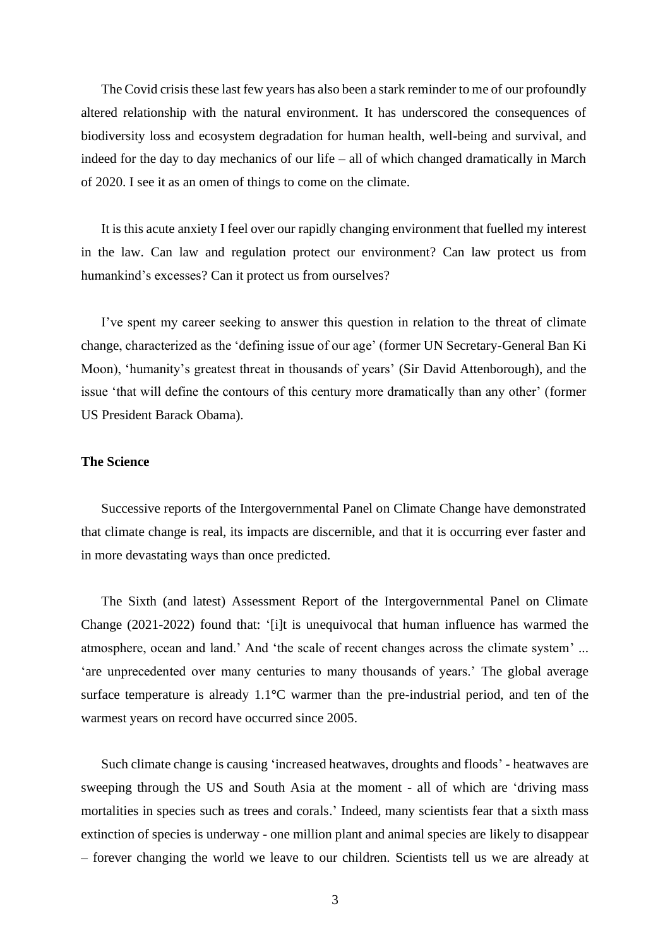The Covid crisis these last few years has also been a stark reminder to me of our profoundly altered relationship with the natural environment. It has underscored the consequences of biodiversity loss and ecosystem degradation for human health, well-being and survival, and indeed for the day to day mechanics of our life – all of which changed dramatically in March of 2020. I see it as an omen of things to come on the climate.

It is this acute anxiety I feel over our rapidly changing environment that fuelled my interest in the law. Can law and regulation protect our environment? Can law protect us from humankind's excesses? Can it protect us from ourselves?

I've spent my career seeking to answer this question in relation to the threat of climate change, characterized as the 'defining issue of our age' (former UN Secretary-General Ban Ki Moon), 'humanity's greatest threat in thousands of years' (Sir David Attenborough), and the issue 'that will define the contours of this century more dramatically than any other' (former US President Barack Obama).

## **The Science**

Successive reports of the Intergovernmental Panel on Climate Change have demonstrated that climate change is real, its impacts are discernible, and that it is occurring ever faster and in more devastating ways than once predicted.

The Sixth (and latest) Assessment Report of the Intergovernmental Panel on Climate Change (2021-2022) found that: '[i]t is unequivocal that human influence has warmed the atmosphere, ocean and land.' And 'the scale of recent changes across the climate system' ... 'are unprecedented over many centuries to many thousands of years.' The global average surface temperature is already 1.1**°**C warmer than the pre-industrial period, and ten of the warmest years on record have occurred since 2005.

Such climate change is causing 'increased heatwaves, droughts and floods' - heatwaves are sweeping through the US and South Asia at the moment - all of which are 'driving mass mortalities in species such as trees and corals.' Indeed, many scientists fear that a sixth mass extinction of species is underway - one million plant and animal species are likely to disappear – forever changing the world we leave to our children. Scientists tell us we are already at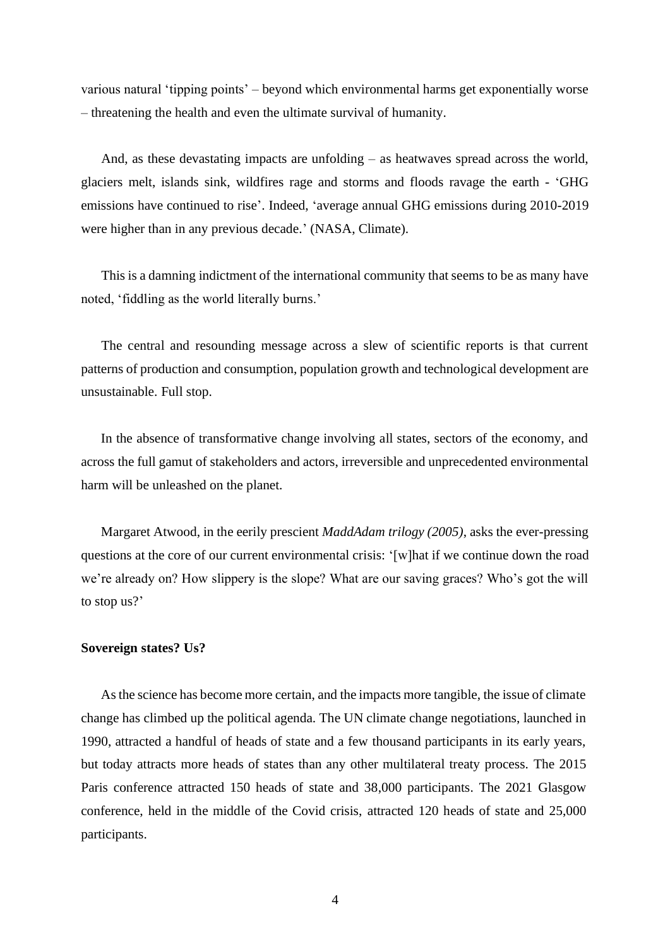various natural 'tipping points' – beyond which environmental harms get exponentially worse – threatening the health and even the ultimate survival of humanity.

And, as these devastating impacts are unfolding – as heatwaves spread across the world, glaciers melt, islands sink, wildfires rage and storms and floods ravage the earth - 'GHG emissions have continued to rise'. Indeed, 'average annual GHG emissions during 2010-2019 were higher than in any previous decade.' (NASA, Climate).

This is a damning indictment of the international community that seems to be as many have noted, 'fiddling as the world literally burns.'

The central and resounding message across a slew of scientific reports is that current patterns of production and consumption, population growth and technological development are unsustainable. Full stop.

In the absence of transformative change involving all states, sectors of the economy, and across the full gamut of stakeholders and actors, irreversible and unprecedented environmental harm will be unleashed on the planet.

Margaret Atwood, in the eerily prescient *MaddAdam trilogy (2005)*, asks the ever-pressing questions at the core of our current environmental crisis: '[w]hat if we continue down the road we're already on? How slippery is the slope? What are our saving graces? Who's got the will to stop us?'

### **Sovereign states? Us?**

As the science has become more certain, and the impacts more tangible, the issue of climate change has climbed up the political agenda. The UN climate change negotiations, launched in 1990, attracted a handful of heads of state and a few thousand participants in its early years, but today attracts more heads of states than any other multilateral treaty process. The 2015 Paris conference attracted 150 heads of state and 38,000 participants. The 2021 Glasgow conference, held in the middle of the Covid crisis, attracted 120 heads of state and 25,000 participants.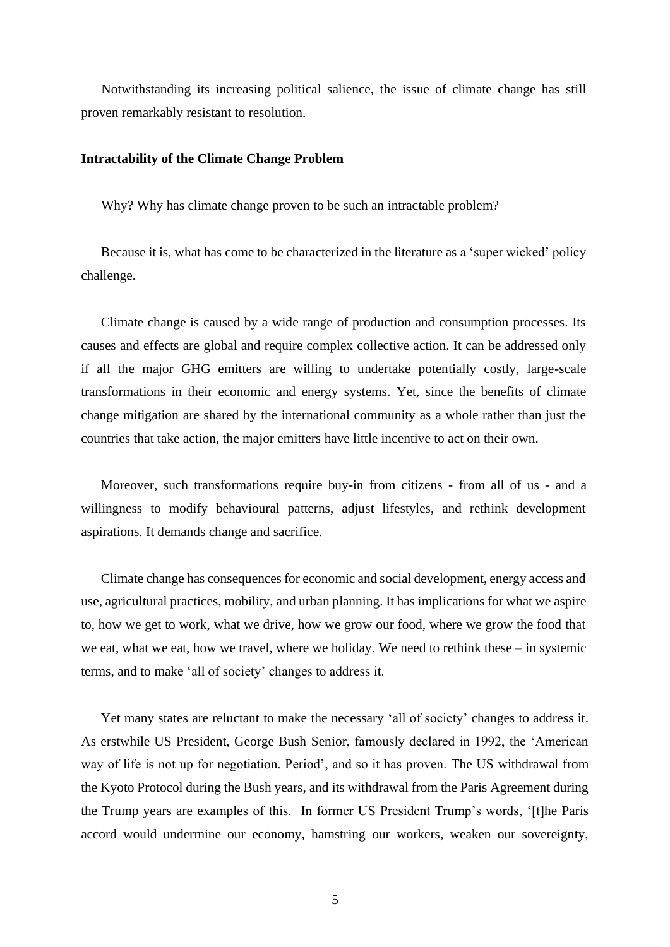Notwithstanding its increasing political salience, the issue of climate change has still proven remarkably resistant to resolution.

#### **Intractability of the Climate Change Problem**

Why? Why has climate change proven to be such an intractable problem?

Because it is, what has come to be characterized in the literature as a 'super wicked' policy challenge.

Climate change is caused by a wide range of production and consumption processes. Its causes and effects are global and require complex collective action. It can be addressed only if all the major GHG emitters are willing to undertake potentially costly, large-scale transformations in their economic and energy systems. Yet, since the benefits of climate change mitigation are shared by the international community as a whole rather than just the countries that take action, the major emitters have little incentive to act on their own.

Moreover, such transformations require buy-in from citizens - from all of us - and a willingness to modify behavioural patterns, adjust lifestyles, and rethink development aspirations. It demands change and sacrifice.

Climate change has consequences for economic and social development, energy access and use, agricultural practices, mobility, and urban planning. It has implications for what we aspire to, how we get to work, what we drive, how we grow our food, where we grow the food that we eat, what we eat, how we travel, where we holiday. We need to rethink these – in systemic terms, and to make 'all of society' changes to address it.

Yet many states are reluctant to make the necessary 'all of society' changes to address it. As erstwhile US President, George Bush Senior, famously declared in 1992, the 'American way of life is not up for negotiation. Period', and so it has proven. The US withdrawal from the Kyoto Protocol during the Bush years, and its withdrawal from the Paris Agreement during the Trump years are examples of this. In former US President Trump's words, '[t]he Paris accord would undermine our economy, hamstring our workers, weaken our sovereignty,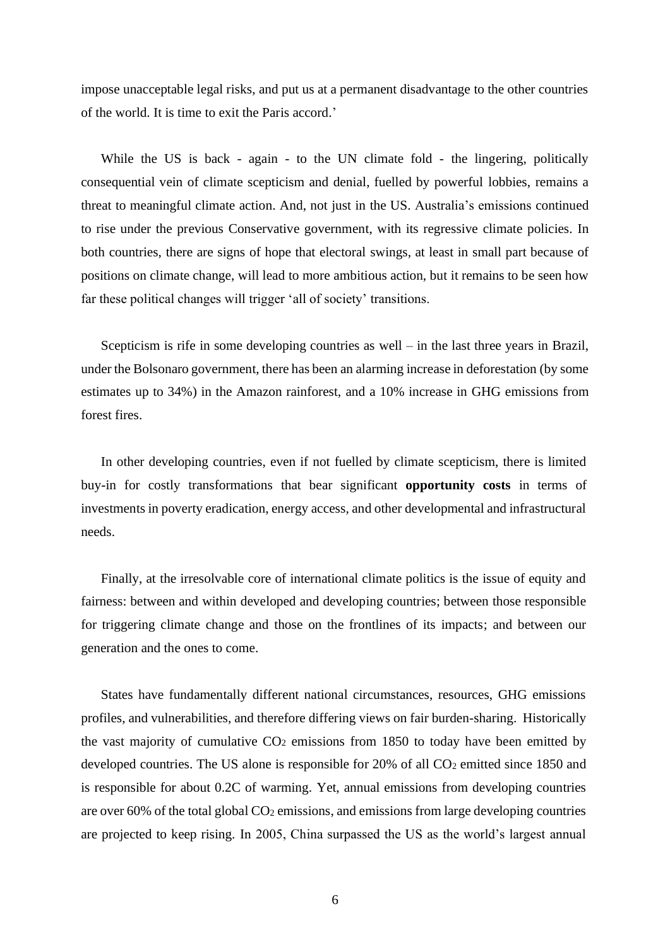impose unacceptable legal risks, and put us at a permanent disadvantage to the other countries of the world. It is time to exit the Paris accord.'

While the US is back - again - to the UN climate fold - the lingering, politically consequential vein of climate scepticism and denial, fuelled by powerful lobbies, remains a threat to meaningful climate action. And, not just in the US. Australia's emissions continued to rise under the previous Conservative government, with its regressive climate policies. In both countries, there are signs of hope that electoral swings, at least in small part because of positions on climate change, will lead to more ambitious action, but it remains to be seen how far these political changes will trigger 'all of society' transitions.

Scepticism is rife in some developing countries as well – in the last three years in Brazil, under the Bolsonaro government, there has been an alarming increase in deforestation (by some estimates up to 34%) in the Amazon rainforest, and a 10% increase in GHG emissions from forest fires.

In other developing countries, even if not fuelled by climate scepticism, there is limited buy-in for costly transformations that bear significant **opportunity costs** in terms of investments in poverty eradication, energy access, and other developmental and infrastructural needs.

Finally, at the irresolvable core of international climate politics is the issue of equity and fairness: between and within developed and developing countries; between those responsible for triggering climate change and those on the frontlines of its impacts; and between our generation and the ones to come.

States have fundamentally different national circumstances, resources, GHG emissions profiles, and vulnerabilities, and therefore differing views on fair burden-sharing. Historically the vast majority of cumulative  $CO<sub>2</sub>$  emissions from 1850 to today have been emitted by developed countries. The US alone is responsible for 20% of all CO<sub>2</sub> emitted since 1850 and is responsible for about 0.2C of warming. Yet, annual emissions from developing countries are over 60% of the total global  $CO<sub>2</sub>$  emissions, and emissions from large developing countries are projected to keep rising. In 2005, China surpassed the US as the world's largest annual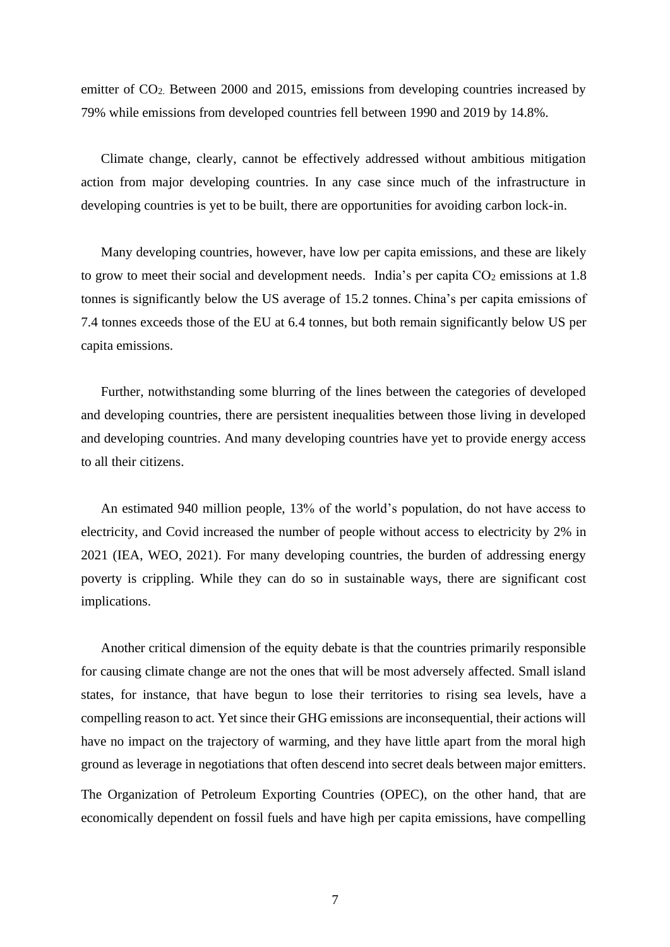emitter of CO2. Between 2000 and 2015, emissions from developing countries increased by 79% while emissions from developed countries fell between 1990 and 2019 by 14.8%.

Climate change, clearly, cannot be effectively addressed without ambitious mitigation action from major developing countries. In any case since much of the infrastructure in developing countries is yet to be built, there are opportunities for avoiding carbon lock-in.

Many developing countries, however, have low per capita emissions, and these are likely to grow to meet their social and development needs. India's per capita CO<sub>2</sub> emissions at 1.8 tonnes is significantly below the US average of 15.2 tonnes. China's per capita emissions of 7.4 tonnes exceeds those of the EU at 6.4 tonnes, but both remain significantly below US per capita emissions.

Further, notwithstanding some blurring of the lines between the categories of developed and developing countries, there are persistent inequalities between those living in developed and developing countries. And many developing countries have yet to provide energy access to all their citizens.

An estimated 940 million people, 13% of the world's population, do not have access to electricity, and Covid increased the number of people without access to electricity by 2% in 2021 (IEA, WEO, 2021). For many developing countries, the burden of addressing energy poverty is crippling. While they can do so in sustainable ways, there are significant cost implications.

Another critical dimension of the equity debate is that the countries primarily responsible for causing climate change are not the ones that will be most adversely affected. Small island states, for instance, that have begun to lose their territories to rising sea levels, have a compelling reason to act. Yet since their GHG emissions are inconsequential, their actions will have no impact on the trajectory of warming, and they have little apart from the moral high ground as leverage in negotiations that often descend into secret deals between major emitters.

The Organization of Petroleum Exporting Countries (OPEC), on the other hand, that are economically dependent on fossil fuels and have high per capita emissions, have compelling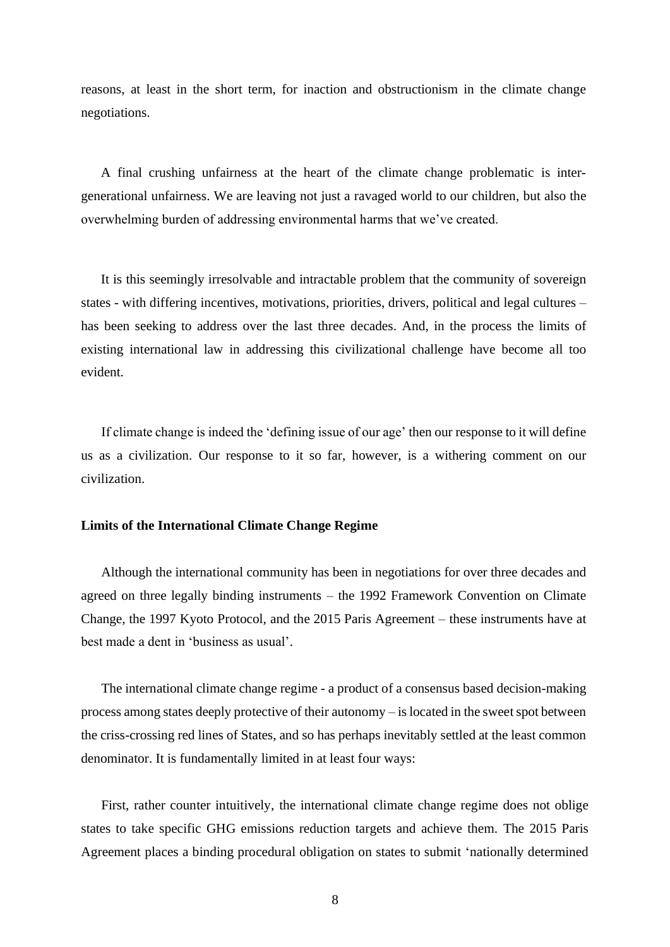reasons, at least in the short term, for inaction and obstructionism in the climate change negotiations.

A final crushing unfairness at the heart of the climate change problematic is intergenerational unfairness. We are leaving not just a ravaged world to our children, but also the overwhelming burden of addressing environmental harms that we've created.

It is this seemingly irresolvable and intractable problem that the community of sovereign states - with differing incentives, motivations, priorities, drivers, political and legal cultures – has been seeking to address over the last three decades. And, in the process the limits of existing international law in addressing this civilizational challenge have become all too evident.

If climate change is indeed the 'defining issue of our age' then our response to it will define us as a civilization. Our response to it so far, however, is a withering comment on our civilization.

#### **Limits of the International Climate Change Regime**

Although the international community has been in negotiations for over three decades and agreed on three legally binding instruments – the 1992 Framework Convention on Climate Change, the 1997 Kyoto Protocol, and the 2015 Paris Agreement – these instruments have at best made a dent in 'business as usual'.

The international climate change regime - a product of a consensus based decision-making process among states deeply protective of their autonomy – is located in the sweet spot between the criss-crossing red lines of States, and so has perhaps inevitably settled at the least common denominator. It is fundamentally limited in at least four ways:

First, rather counter intuitively, the international climate change regime does not oblige states to take specific GHG emissions reduction targets and achieve them. The 2015 Paris Agreement places a binding procedural obligation on states to submit 'nationally determined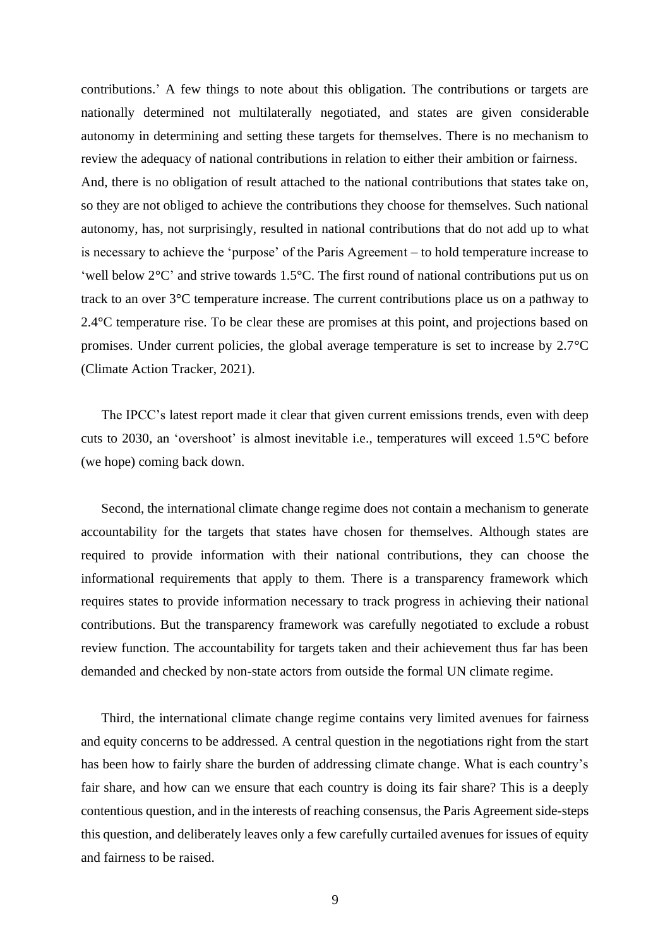contributions.' A few things to note about this obligation. The contributions or targets are nationally determined not multilaterally negotiated, and states are given considerable autonomy in determining and setting these targets for themselves. There is no mechanism to review the adequacy of national contributions in relation to either their ambition or fairness. And, there is no obligation of result attached to the national contributions that states take on, so they are not obliged to achieve the contributions they choose for themselves. Such national autonomy, has, not surprisingly, resulted in national contributions that do not add up to what is necessary to achieve the 'purpose' of the Paris Agreement – to hold temperature increase to 'well below 2**°**C' and strive towards 1.5**°**C. The first round of national contributions put us on track to an over 3**°**C temperature increase. The current contributions place us on a pathway to 2.4**°**C temperature rise. To be clear these are promises at this point, and projections based on promises. Under current policies, the global average temperature is set to increase by 2.7**°**C (Climate Action Tracker, 2021).

The IPCC's latest report made it clear that given current emissions trends, even with deep cuts to 2030, an 'overshoot' is almost inevitable i.e., temperatures will exceed 1.5**°**C before (we hope) coming back down.

Second, the international climate change regime does not contain a mechanism to generate accountability for the targets that states have chosen for themselves. Although states are required to provide information with their national contributions, they can choose the informational requirements that apply to them. There is a transparency framework which requires states to provide information necessary to track progress in achieving their national contributions. But the transparency framework was carefully negotiated to exclude a robust review function. The accountability for targets taken and their achievement thus far has been demanded and checked by non-state actors from outside the formal UN climate regime.

Third, the international climate change regime contains very limited avenues for fairness and equity concerns to be addressed. A central question in the negotiations right from the start has been how to fairly share the burden of addressing climate change. What is each country's fair share, and how can we ensure that each country is doing its fair share? This is a deeply contentious question, and in the interests of reaching consensus, the Paris Agreement side-steps this question, and deliberately leaves only a few carefully curtailed avenues for issues of equity and fairness to be raised.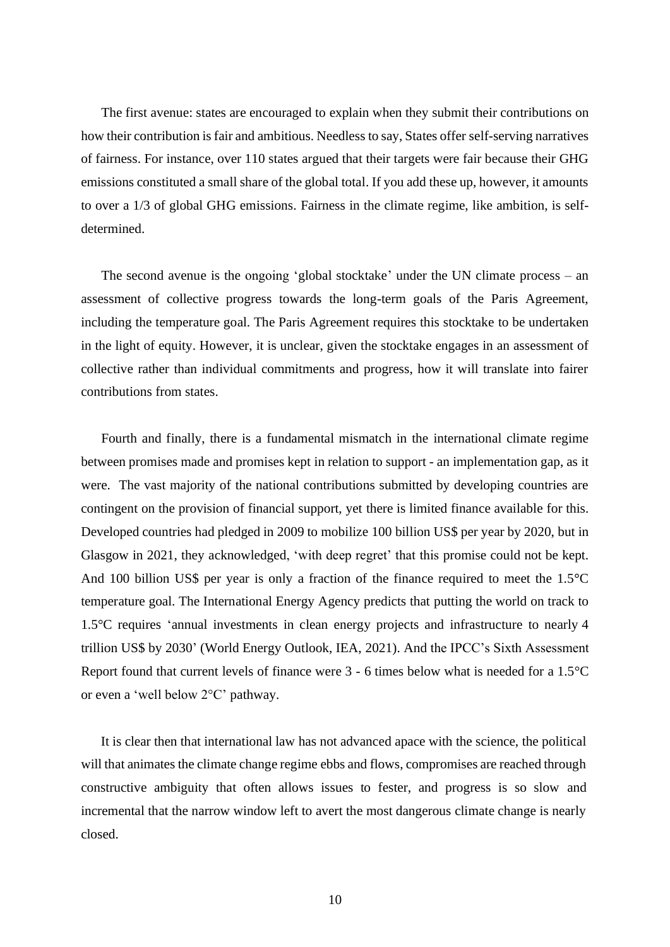The first avenue: states are encouraged to explain when they submit their contributions on how their contribution is fair and ambitious. Needless to say, States offer self-serving narratives of fairness. For instance, over 110 states argued that their targets were fair because their GHG emissions constituted a small share of the global total. If you add these up, however, it amounts to over a 1/3 of global GHG emissions. Fairness in the climate regime, like ambition, is selfdetermined.

The second avenue is the ongoing 'global stocktake' under the UN climate process – an assessment of collective progress towards the long-term goals of the Paris Agreement, including the temperature goal. The Paris Agreement requires this stocktake to be undertaken in the light of equity. However, it is unclear, given the stocktake engages in an assessment of collective rather than individual commitments and progress, how it will translate into fairer contributions from states.

Fourth and finally, there is a fundamental mismatch in the international climate regime between promises made and promises kept in relation to support - an implementation gap, as it were. The vast majority of the national contributions submitted by developing countries are contingent on the provision of financial support, yet there is limited finance available for this. Developed countries had pledged in 2009 to mobilize 100 billion US\$ per year by 2020, but in Glasgow in 2021, they acknowledged, 'with deep regret' that this promise could not be kept. And 100 billion US\$ per year is only a fraction of the finance required to meet the 1.5**°**C temperature goal. The International Energy Agency predicts that putting the world on track to 1.5°C requires 'annual investments in clean energy projects and infrastructure to nearly 4 trillion US\$ by 2030' (World Energy Outlook, IEA, 2021). And the IPCC's Sixth Assessment Report found that current levels of finance were 3 - 6 times below what is needed for a 1.5°C or even a 'well below 2°C' pathway.

It is clear then that international law has not advanced apace with the science, the political will that animates the climate change regime ebbs and flows, compromises are reached through constructive ambiguity that often allows issues to fester, and progress is so slow and incremental that the narrow window left to avert the most dangerous climate change is nearly closed.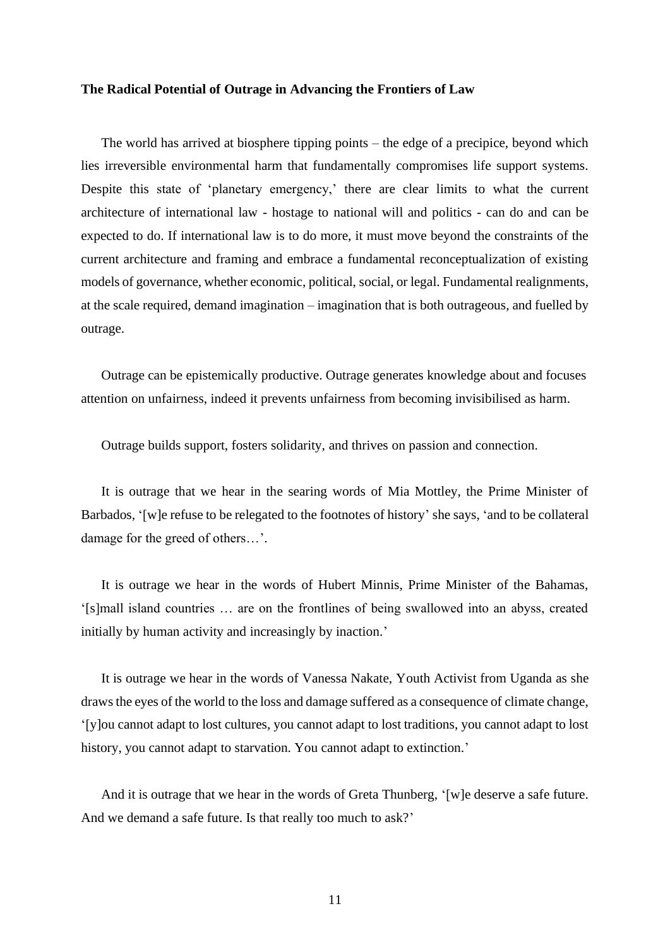#### **The Radical Potential of Outrage in Advancing the Frontiers of Law**

The world has arrived at biosphere tipping points – the edge of a precipice, beyond which lies irreversible environmental harm that fundamentally compromises life support systems. Despite this state of 'planetary emergency,' there are clear limits to what the current architecture of international law - hostage to national will and politics - can do and can be expected to do. If international law is to do more, it must move beyond the constraints of the current architecture and framing and embrace a fundamental reconceptualization of existing models of governance, whether economic, political, social, or legal. Fundamental realignments, at the scale required, demand imagination – imagination that is both outrageous, and fuelled by outrage.

Outrage can be epistemically productive. Outrage generates knowledge about and focuses attention on unfairness, indeed it prevents unfairness from becoming invisibilised as harm.

Outrage builds support, fosters solidarity, and thrives on passion and connection.

It is outrage that we hear in the searing words of Mia Mottley, the Prime Minister of Barbados, '[w]e refuse to be relegated to the footnotes of history' she says, 'and to be collateral damage for the greed of others…'.

It is outrage we hear in the words of Hubert Minnis, Prime Minister of the Bahamas, '[s]mall island countries … are on the frontlines of being swallowed into an abyss, created initially by human activity and increasingly by inaction.'

It is outrage we hear in the words of Vanessa Nakate, Youth Activist from Uganda as she draws the eyes of the world to the loss and damage suffered as a consequence of climate change, '[y]ou cannot adapt to lost cultures, you cannot adapt to lost traditions, you cannot adapt to lost history, you cannot adapt to starvation. You cannot adapt to extinction.'

And it is outrage that we hear in the words of Greta Thunberg, '[w]e deserve a safe future. And we demand a safe future. Is that really too much to ask?'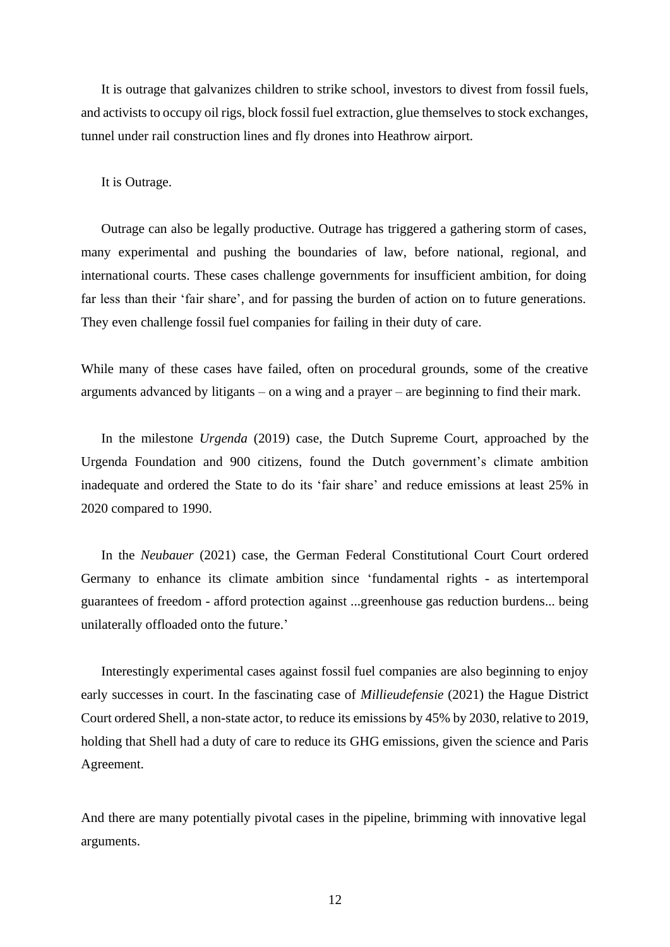It is outrage that galvanizes children to strike school, investors to divest from fossil fuels, and activists to occupy oil rigs, block fossil fuel extraction, glue themselves to stock exchanges, tunnel under rail construction lines and fly drones into Heathrow airport.

It is Outrage.

Outrage can also be legally productive. Outrage has triggered a gathering storm of cases, many experimental and pushing the boundaries of law, before national, regional, and international courts. These cases challenge governments for insufficient ambition, for doing far less than their 'fair share', and for passing the burden of action on to future generations. They even challenge fossil fuel companies for failing in their duty of care.

While many of these cases have failed, often on procedural grounds, some of the creative arguments advanced by litigants – on a wing and a prayer – are beginning to find their mark.

In the milestone *Urgenda* (2019) case, the Dutch Supreme Court, approached by the Urgenda Foundation and 900 citizens, found the Dutch government's climate ambition inadequate and ordered the State to do its 'fair share' and reduce emissions at least 25% in 2020 compared to 1990.

In the *Neubauer* (2021) case, the German Federal Constitutional Court Court ordered Germany to enhance its climate ambition since 'fundamental rights - as intertemporal guarantees of freedom - afford protection against ...greenhouse gas reduction burdens... being unilaterally offloaded onto the future.'

Interestingly experimental cases against fossil fuel companies are also beginning to enjoy early successes in court. In the fascinating case of *Millieudefensie* (2021) the Hague District Court ordered Shell, a non-state actor, to reduce its emissions by 45% by 2030, relative to 2019, holding that Shell had a duty of care to reduce its GHG emissions, given the science and Paris Agreement.

And there are many potentially pivotal cases in the pipeline, brimming with innovative legal arguments.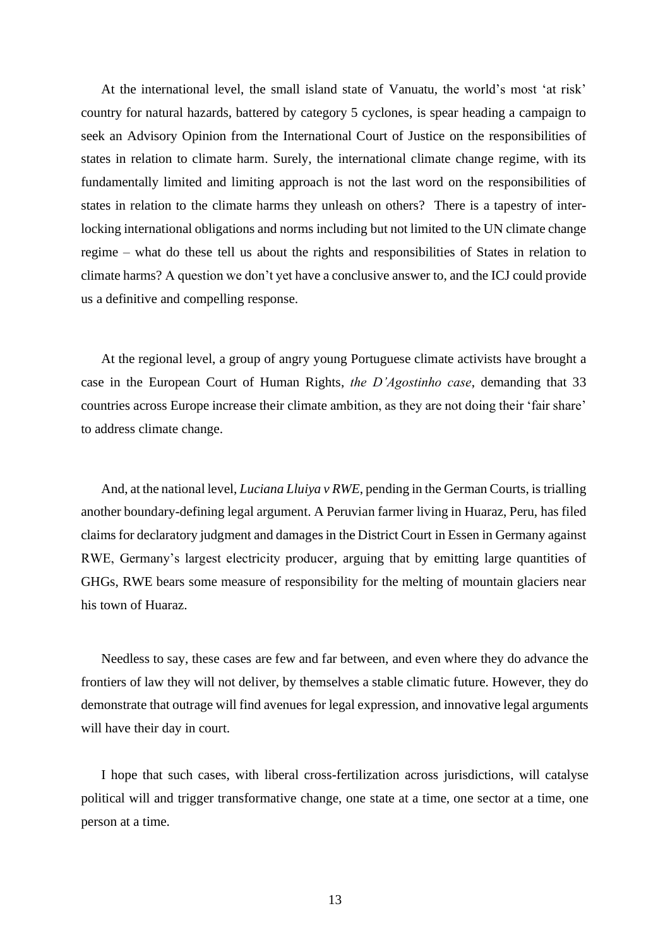At the international level, the small island state of Vanuatu, the world's most 'at risk' country for natural hazards, battered by category 5 cyclones, is spear heading a campaign to seek an Advisory Opinion from the International Court of Justice on the responsibilities of states in relation to climate harm. Surely, the international climate change regime, with its fundamentally limited and limiting approach is not the last word on the responsibilities of states in relation to the climate harms they unleash on others? There is a tapestry of interlocking international obligations and norms including but not limited to the UN climate change regime – what do these tell us about the rights and responsibilities of States in relation to climate harms? A question we don't yet have a conclusive answer to, and the ICJ could provide us a definitive and compelling response.

At the regional level, a group of angry young Portuguese climate activists have brought a case in the European Court of Human Rights, *the D'Agostinho case*, demanding that 33 countries across Europe increase their climate ambition, as they are not doing their 'fair share' to address climate change.

And, at the national level, *Luciana Lluiya v RWE*, pending in the German Courts, is trialling another boundary-defining legal argument. A Peruvian farmer living in Huaraz, Peru, has filed claims for declaratory judgment and damages in the District Court in Essen in Germany against RWE, Germany's largest electricity producer, arguing that by emitting large quantities of GHGs, RWE bears some measure of responsibility for the melting of mountain glaciers near his town of Huaraz.

Needless to say, these cases are few and far between, and even where they do advance the frontiers of law they will not deliver, by themselves a stable climatic future. However, they do demonstrate that outrage will find avenues for legal expression, and innovative legal arguments will have their day in court.

I hope that such cases, with liberal cross-fertilization across jurisdictions, will catalyse political will and trigger transformative change, one state at a time, one sector at a time, one person at a time.